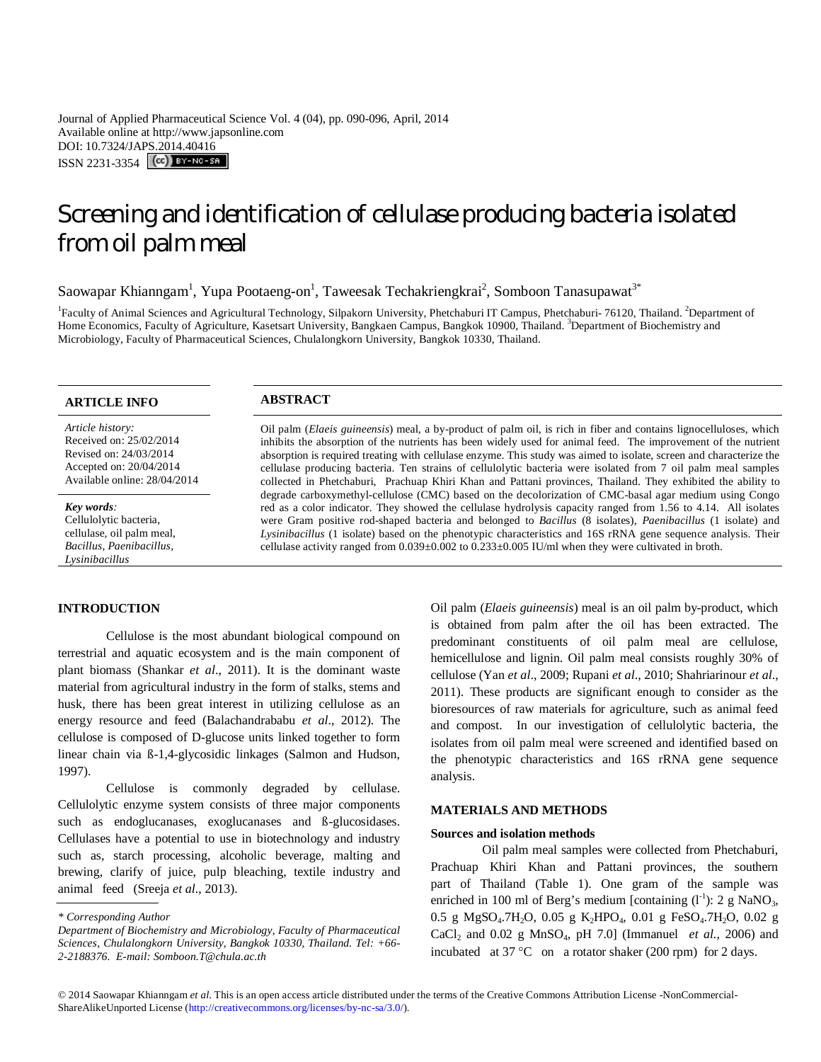Journal of Applied Pharmaceutical Science Vol. 4 (04), pp. 090-096, April, 2014 Available online at http://www.japsonline.com DOI: 10.7324/JAPS.2014.40416 ISSN 2231-3354 **(cc)** BY-NO-SA

# Screening and identification of cellulase producing bacteria isolated from oil palm meal

Saowapar Khianngam<sup>1</sup>, Yupa Pootaeng-on<sup>1</sup>, Taweesak Techakriengkrai<sup>2</sup>, Somboon Tanasupawat<sup>3\*</sup>

<sup>1</sup> Faculty of Animal Sciences and Agricultural Technology, Silpakorn University, Phetchaburi IT Campus, Phetchaburi- 76120, Thailand. <sup>2</sup> Department of Home Economics, Faculty of Agriculture, Kasetsart University, Bangkaen Campus, Bangkok 10900, Thailand. <sup>3</sup>Department of Biochemistry and Microbiology, Faculty of Pharmaceutical Sciences, Chulalongkorn University, Bangkok 10330, Thailand.

## **ARTICLE INFO ABSTRACT**

*Article history:* Received on: 25/02/2014 Revised on: 24/03/2014 Accepted on: 20/04/2014 Available online: 28/04/2014

*Key words:*  Cellulolytic bacteria, cellulase, oil palm meal, *Bacillus*, *Paenibacillus, Lysinibacillus*

## **INTRODUCTION**

Cellulose is the most abundant biological compound on terrestrial and aquatic ecosystem and is the main component of plant biomass (Shankar *et al*., 2011). It is the dominant waste material from agricultural industry in the form of stalks, stems and husk, there has been great interest in utilizing cellulose as an energy resource and feed (Balachandrababu *et al*., 2012). The cellulose is composed of D-glucose units linked together to form linear chain via ß-1,4-glycosidic linkages (Salmon and Hudson, 1997).

Cellulose is commonly degraded by cellulase. Cellulolytic enzyme system consists of three major components such as endoglucanases, exoglucanases and ß-glucosidases. Cellulases have a potential to use in biotechnology and industry such as, starch processing, alcoholic beverage, malting and brewing, clarify of juice, pulp bleaching, textile industry and animal feed (Sreeja *et al*., 2013).

Oil palm (*Elaeis guineensis*) meal, a by-product of palm oil, is rich in fiber and contains lignocelluloses, which inhibits the absorption of the nutrients has been widely used for animal feed. The improvement of the nutrient absorption is required treating with cellulase enzyme. This study was aimed to isolate, screen and characterize the cellulase producing bacteria. Ten strains of cellulolytic bacteria were isolated from 7 oil palm meal samples collected in Phetchaburi, Prachuap Khiri Khan and Pattani provinces, Thailand. They exhibited the ability to degrade carboxymethyl-cellulose (CMC) based on the decolorization of CMC-basal agar medium using Congo red as a color indicator. They showed the cellulase hydrolysis capacity ranged from 1.56 to 4.14. All isolates were Gram positive rod-shaped bacteria and belonged to *Bacillus* (8 isolates), *Paenibacillus* (1 isolate) and *Lysinibacillus* (1 isolate) based on the phenotypic characteristics and 16S rRNA gene sequence analysis. Their cellulase activity ranged from 0.039±0.002 to 0.233±0.005 IU/ml when they were cultivated in broth.

> Oil palm (*Elaeis guineensis*) meal is an oil palm by-product, which is obtained from palm after the oil has been extracted. The predominant constituents of oil palm meal are cellulose, hemicellulose and lignin. Oil palm meal consists roughly 30% of cellulose (Yan *et al*., 2009; Rupani *et al*., 2010; Shahriarinour *et al*., 2011). These products are significant enough to consider as the bioresources of raw materials for agriculture, such as animal feed and compost. In our investigation of cellulolytic bacteria, the isolates from oil palm meal were screened and identified based on the phenotypic characteristics and 16S rRNA gene sequence analysis.

## **MATERIALS AND METHODS**

## **Sources and isolation methods**

Oil palm meal samples were collected from Phetchaburi, Prachuap Khiri Khan and Pattani provinces, the southern part of Thailand (Table 1). One gram of the sample was enriched in 100 ml of Berg's medium [containing  $(I<sup>-1</sup>)$ : 2 g NaNO<sub>3</sub>, 0.5 g MgSO<sub>4</sub>.7H<sub>2</sub>O, 0.05 g K<sub>2</sub>HPO<sub>4</sub>, 0.01 g FeSO<sub>4</sub>.7H<sub>2</sub>O, 0.02 g CaCl<sup>2</sup> and 0.02 g MnSO4, pH 7.0] (Immanuel *et al.,* 2006) and incubated at  $37^{\circ}$ C on a rotator shaker (200 rpm) for 2 days.

*<sup>\*</sup> Corresponding Author*

*Department of Biochemistry and Microbiology, Faculty of Pharmaceutical Sciences, Chulalongkorn University, Bangkok 10330, Thailand. Tel: +66- 2-2188376. E-mail: Somboon.T@chula.ac.th*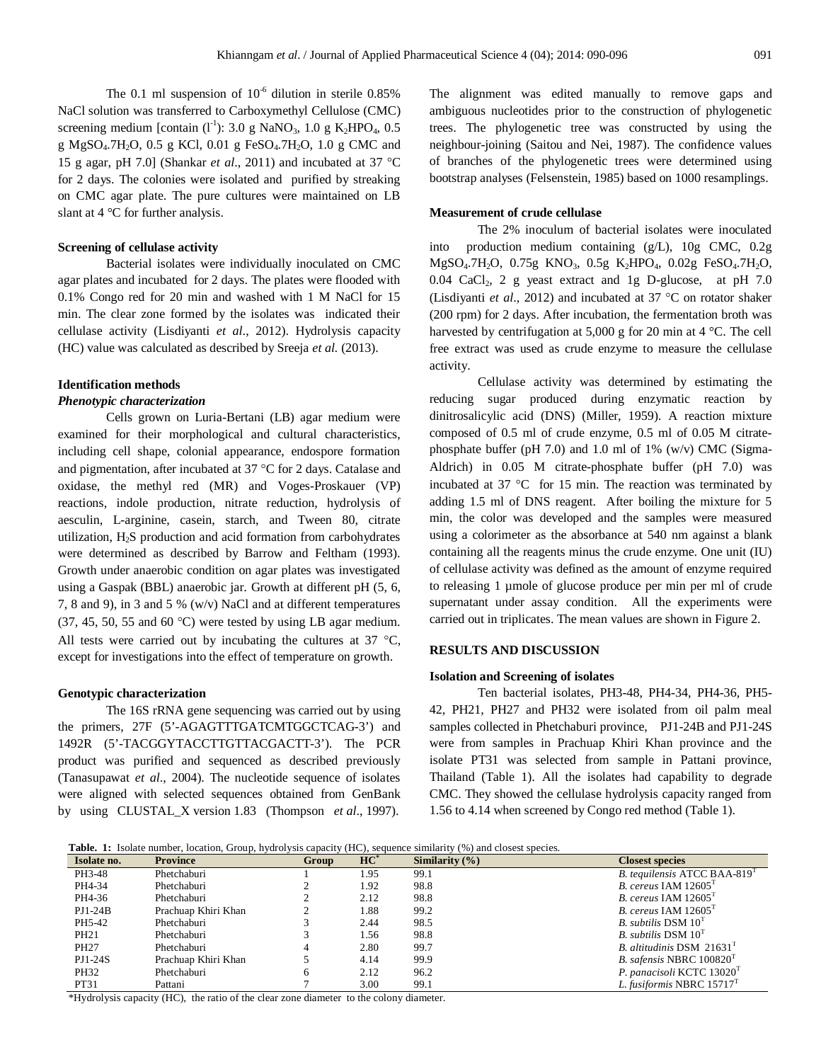The 0.1 ml suspension of  $10^{-6}$  dilution in sterile 0.85% NaCl solution was transferred to Carboxymethyl Cellulose (CMC) screening medium [contain  $(l<sup>-1</sup>)$ : 3.0 g NaNO<sub>3</sub>, 1.0 g K<sub>2</sub>HPO<sub>4</sub>, 0.5 g MgSO<sub>4</sub>.7H<sub>2</sub>O, 0.5 g KCl, 0.01 g FeSO<sub>4</sub>.7H<sub>2</sub>O, 1.0 g CMC and 15 g agar, pH 7.0] (Shankar *et al*., 2011) and incubated at 37 C for 2 days. The colonies were isolated and purified by streaking on CMC agar plate. The pure cultures were maintained on LB slant at 4 °C for further analysis.

## **Screening of cellulase activity**

Bacterial isolates were individually inoculated on CMC agar plates and incubated for 2 days. The plates were flooded with 0.1% Congo red for 20 min and washed with 1 M NaCl for 15 min. The clear zone formed by the isolates was indicated their cellulase activity (Lisdiyanti *et al*., 2012). Hydrolysis capacity (HC) value was calculated as described by Sreeja *et al.* (2013).

#### **Identification methods**

## *Phenotypic characterization*

Cells grown on Luria-Bertani (LB) agar medium were examined for their morphological and cultural characteristics, including cell shape, colonial appearance, endospore formation and pigmentation, after incubated at 37  $\degree$ C for 2 days. Catalase and oxidase, the methyl red (MR) and Voges-Proskauer (VP) reactions, indole production, nitrate reduction, hydrolysis of aesculin, L-arginine, casein, starch, and Tween 80, citrate utilization,  $H<sub>2</sub>S$  production and acid formation from carbohydrates were determined as described by Barrow and Feltham (1993). Growth under anaerobic condition on agar plates was investigated using a Gaspak (BBL) anaerobic jar. Growth at different pH (5, 6, 7, 8 and 9), in 3 and 5 % (w/v) NaCl and at different temperatures  $(37, 45, 50, 55, 40, 60, 60, 60)$  were tested by using LB agar medium. All tests were carried out by incubating the cultures at  $37 \text{ °C}$ , except for investigations into the effect of temperature on growth.

## **Genotypic characterization**

The 16S rRNA gene sequencing was carried out by using the primers, 27F (5'-AGAGTTTGATCMTGGCTCAG-3') and 1492R (5'-TACGGYTACCTTGTTACGACTT-3'). The PCR product was purified and sequenced as described previously (Tanasupawat *et al*., 2004). The nucleotide sequence of isolates were aligned with selected sequences obtained from GenBank by using CLUSTAL\_X version 1.83 (Thompson *et al*., 1997).

The alignment was edited manually to remove gaps and ambiguous nucleotides prior to the construction of phylogenetic trees. The phylogenetic tree was constructed by using the neighbour-joining (Saitou and Nei, 1987). The confidence values of branches of the phylogenetic trees were determined using bootstrap analyses (Felsenstein, 1985) based on 1000 resamplings.

## **Measurement of crude cellulase**

The 2% inoculum of bacterial isolates were inoculated into production medium containing (g/L), 10g CMC, 0.2g MgSO<sub>4</sub>.7H<sub>2</sub>O, 0.75g KNO<sub>3</sub>, 0.5g K<sub>2</sub>HPO<sub>4</sub>, 0.02g FeSO<sub>4</sub>.7H<sub>2</sub>O,  $0.04$  CaCl<sub>2</sub>, 2 g yeast extract and 1g D-glucose, at pH 7.0 (Lisdiyanti *et al.*, 2012) and incubated at 37  $^{\circ}$ C on rotator shaker (200 rpm) for 2 days. After incubation, the fermentation broth was harvested by centrifugation at 5,000 g for 20 min at 4 °C. The cell free extract was used as crude enzyme to measure the cellulase activity.

Cellulase activity was determined by estimating the reducing sugar produced during enzymatic reaction by dinitrosalicylic acid (DNS) (Miller, 1959). A reaction mixture composed of 0.5 ml of crude enzyme, 0.5 ml of 0.05 M citratephosphate buffer (pH 7.0) and 1.0 ml of 1% (w/v) CMC (Sigma-Aldrich) in 0.05 M citrate-phosphate buffer (pH 7.0) was incubated at  $37 \text{ °C}$  for 15 min. The reaction was terminated by adding 1.5 ml of DNS reagent. After boiling the mixture for 5 min, the color was developed and the samples were measured using a colorimeter as the absorbance at 540 nm against a blank containing all the reagents minus the crude enzyme. One unit (IU) of cellulase activity was defined as the amount of enzyme required to releasing 1 µmole of glucose produce per min per ml of crude supernatant under assay condition. All the experiments were carried out in triplicates. The mean values are shown in Figure 2.

## **RESULTS AND DISCUSSION**

## **Isolation and Screening of isolates**

Ten bacterial isolates, PH3-48, PH4-34, PH4-36, PH5- 42, PH21, PH27 and PH32 were isolated from oil palm meal samples collected in Phetchaburi province, PJ1-24B and PJ1-24S were from samples in Prachuap Khiri Khan province and the isolate PT31 was selected from sample in Pattani province, Thailand (Table 1). All the isolates had capability to degrade CMC. They showed the cellulase hydrolysis capacity ranged from 1.56 to 4.14 when screened by Congo red method (Table 1).

**Table. 1:** Isolate number, location, Group, hydrolysis capacity (HC), sequence similarity (%) and closest species.

| Isolate no.      | <b>Province</b>     | Group | $HC^*$ | Similarity $(\% )$ | <b>Closest species</b>                   |  |  |
|------------------|---------------------|-------|--------|--------------------|------------------------------------------|--|--|
| PH3-48           | Phetchaburi         |       | l.95   | 99.1               | B. tequilensis ATCC BAA-819 <sup>1</sup> |  |  |
| PH4-34           | Phetchaburi         |       | 1.92   | 98.8               | B. cereus IAM $12605T$                   |  |  |
| PH4-36           | Phetchaburi         |       | 2.12   | 98.8               | B. cereus IAM $12605T$                   |  |  |
| $PI1-24B$        | Prachuap Khiri Khan |       | 1.88   | 99.2               | B. cereus IAM $12605T$                   |  |  |
| PH5-42           | Phetchaburi         |       | 2.44   | 98.5               | B. subtilis $DSM 10T$                    |  |  |
| PH <sub>21</sub> | Phetchaburi         |       | 1.56   | 98.8               | B. subtilis $DSM 10T$                    |  |  |
| PH <sub>27</sub> | Phetchaburi         |       | 2.80   | 99.7               | B. altitudinis DSM $21631T$              |  |  |
| PJ1-24S          | Prachuap Khiri Khan |       | 4.14   | 99.9               | <i>B. safensis</i> NBRC $100820T$        |  |  |
| PH32             | Phetchaburi         |       | 2.12   | 96.2               | P. panacisoli KCTC 13020 <sup>T</sup>    |  |  |
| PT31             | Pattani             |       | 3.00   | 99.1               | L. fusiformis NBRC 15717 <sup>T</sup>    |  |  |

\*Hydrolysis capacity (HC), the ratio of the clear zone diameter to the colony diameter.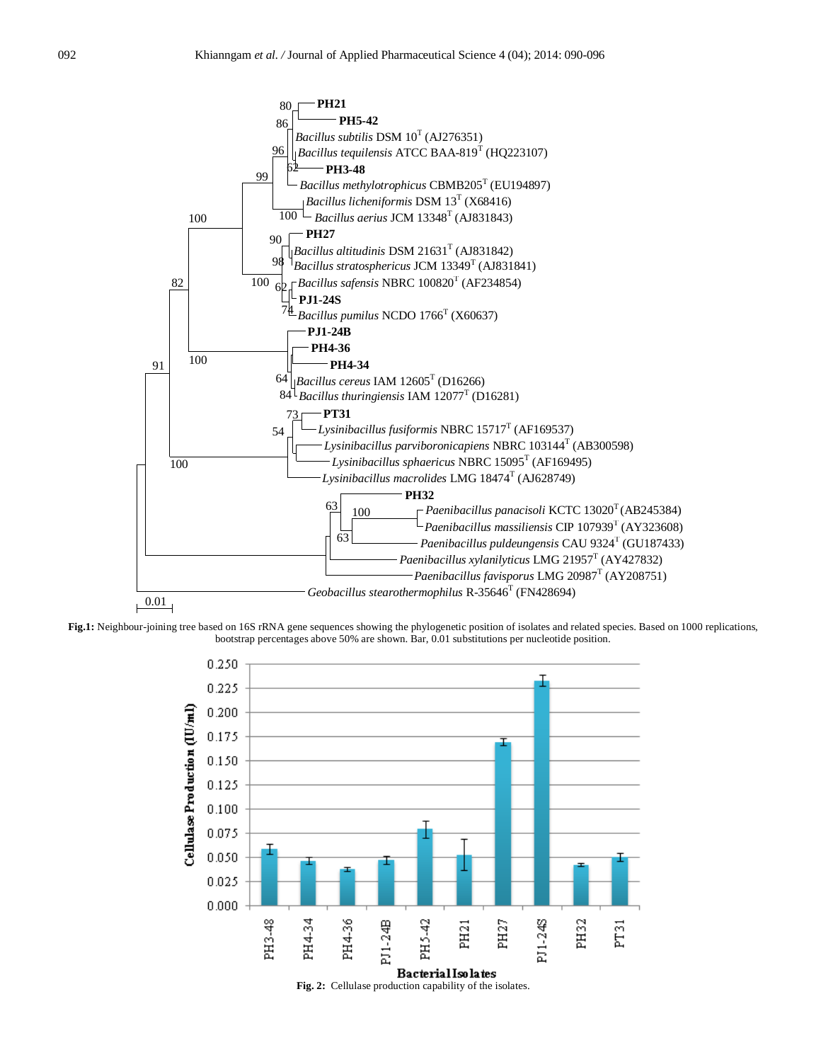

**Fig.1:** Neighbour-joining tree based on 16S rRNA gene sequences showing the phylogenetic position of isolates and related species. Based on 1000 replications, bootstrap percentages above 50% are shown. Bar, 0.01 substitutions per nucleotide position.

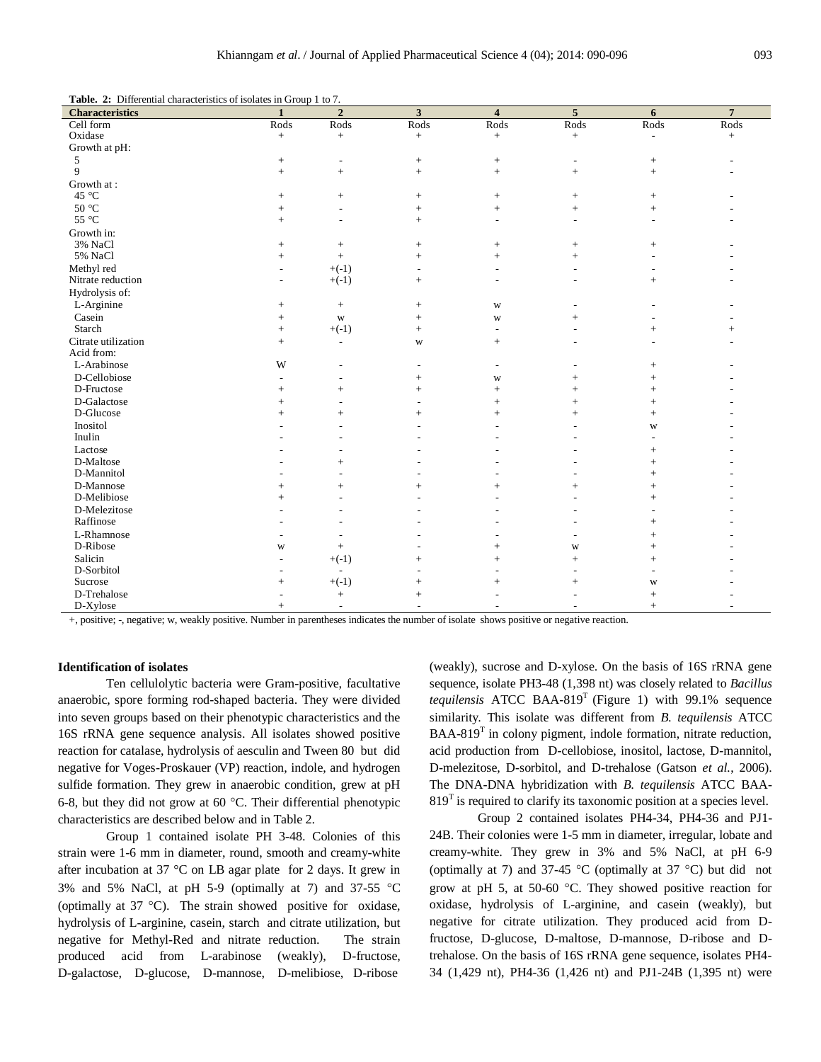**Table. 2:** Differential characteristics of isolates in Group 1 to 7.

| <b>Characteristics</b>         | $\mathbf{1}$             | $\overline{2}$   | $\overline{\mathbf{3}}$  | $\overline{4}$           | $\overline{5}$           | 6                        | $\overline{7}$ |
|--------------------------------|--------------------------|------------------|--------------------------|--------------------------|--------------------------|--------------------------|----------------|
| Cell form                      | Rods                     | Rods             | Rods                     | Rods                     | Rods                     | Rods                     | Rods           |
| Oxidase                        | $+$                      | $+$              | $+$                      | $+$                      | $+$                      | $\overline{\phantom{a}}$ | $+$            |
| Growth at pH:                  |                          |                  |                          |                          |                          |                          |                |
| 5                              | $\! + \!\!\!\!$          | $\overline{a}$   | $^+$                     | $^+$                     | $\overline{\phantom{a}}$ |                          |                |
| $\mathbf{Q}$                   | $+$                      | $\! +$           | $+$                      | $\! + \!\!\!\!$          | $+$                      | $\! + \!\!\!\!$          |                |
| Growth at:                     |                          |                  |                          |                          |                          |                          |                |
| 45 °C                          | $+$                      | $\! +$           | $+$                      | $+$                      | $+$                      | $\! +$                   |                |
| $50\text{ }^{\circ}\mathrm{C}$ | $+$                      | ÷,               | $+$                      | $\! +$                   | $^{+}$                   | $^{+}$                   |                |
| 55 °C                          | $^{+}$                   | L,               | $+$                      | ÷,                       | $\sim$                   |                          |                |
| Growth in:                     |                          |                  |                          |                          |                          |                          |                |
| 3% NaCl                        | $+$                      | $\! +$           | $+$                      |                          | $+$                      | $+$                      |                |
| 5% NaCl                        | $+$                      | $\pm$            | $+$                      | $+$                      | $\ddot{}$                |                          |                |
| Methyl red                     | $\overline{\phantom{a}}$ | $+(-1)$          | $\overline{a}$           | $\overline{a}$           | $\overline{\phantom{a}}$ |                          |                |
| Nitrate reduction              | $\overline{\phantom{a}}$ | $+(-1)$          | $+$                      | $\overline{a}$           | $\sim$                   | $+$                      |                |
| Hydrolysis of:                 |                          |                  |                          |                          |                          |                          |                |
| L-Arginine                     | $+$                      | $\boldsymbol{+}$ | $+$                      | W                        | $\overline{\phantom{a}}$ |                          |                |
| Casein                         | $+$                      | W                | $+$                      | W                        | $+$                      |                          |                |
| Starch                         | $+$                      | $+(-1)$          | $+$                      | $\overline{\phantom{a}}$ |                          | $^{+}$                   | $+$            |
| Citrate utilization            | $+$                      | $\sim$           | W                        | $+$                      | $\sim$                   | ÷.                       |                |
| Acid from:                     |                          |                  |                          |                          |                          |                          |                |
| L-Arabinose                    | W                        | ٠                | $\overline{a}$           | $\overline{a}$           |                          | $+$                      |                |
| D-Cellobiose                   |                          | ٠                | $+$                      | W                        | $\ddot{}$                | $^{+}$                   |                |
| D-Fructose                     | $+$                      | $\! +$           | $+$                      | $+$                      | $^{+}$                   | $^{+}$                   |                |
| D-Galactose                    | $\ddot{}$                | ÷                | $\overline{a}$           | $^{+}$                   | $+$                      | $^{+}$                   |                |
| D-Glucose                      | $+$                      | $^{+}$           | $+$                      | $+$                      | $+$                      | $+$                      |                |
| Inositol                       |                          | ÷                | $\overline{a}$           |                          |                          | W                        |                |
| Inulin                         |                          | ٠                |                          |                          |                          |                          |                |
| Lactose                        |                          |                  |                          |                          |                          | $^{+}$                   |                |
| D-Maltose                      |                          |                  |                          |                          |                          | $^{+}$                   |                |
| D-Mannitol                     |                          | $\overline{a}$   | $\overline{a}$           |                          |                          | $+$                      |                |
| D-Mannose                      | $^{+}$                   | $^+$             | $+$                      |                          | $^{+}$                   | $^{+}$                   |                |
| D-Melibiose                    | $\ddot{}$                | L,               | $\overline{a}$           |                          |                          | $^{+}$                   |                |
| D-Melezitose                   |                          | $\overline{a}$   |                          |                          |                          |                          |                |
| Raffinose                      |                          | ٠                |                          |                          |                          | $+$                      |                |
| L-Rhamnose                     |                          |                  |                          |                          |                          | $^{+}$                   |                |
| D-Ribose                       | W                        | $\, +$           |                          | $+$                      | $\mathbf W$              | $^{+}$                   |                |
| Salicin                        |                          | $+(-1)$          | $+$                      | $+$                      | $^{+}$                   | $^{+}$                   |                |
| D-Sorbitol                     |                          | $\sim$           |                          |                          | $\sim$                   |                          |                |
| Sucrose                        | $+$                      | $+(-1)$          | $^+$                     | $+$                      | $\ddot{}$                | W                        |                |
| D-Trehalose                    | $\overline{a}$           | $\boldsymbol{+}$ | $+$                      |                          |                          | $^{+}$                   |                |
| D-Xylose                       | $+$                      | $\sim$           | $\overline{\phantom{a}}$ |                          |                          | $\! + \!\!\!\!$          |                |

+, positive; -, negative; w, weakly positive. Number in parentheses indicates the number of isolate shows positive or negative reaction.

## **Identification of isolates**

Ten cellulolytic bacteria were Gram-positive, facultative anaerobic, spore forming rod-shaped bacteria. They were divided into seven groups based on their phenotypic characteristics and the 16S rRNA gene sequence analysis. All isolates showed positive reaction for catalase, hydrolysis of aesculin and Tween 80 but did negative for Voges-Proskauer (VP) reaction, indole, and hydrogen sulfide formation. They grew in anaerobic condition, grew at pH 6-8, but they did not grow at 60  $^{\circ}$ C. Their differential phenotypic characteristics are described below and in Table 2.

Group 1 contained isolate PH 3-48. Colonies of this strain were 1-6 mm in diameter, round, smooth and creamy-white after incubation at 37 °C on LB agar plate for 2 days. It grew in 3% and 5% NaCl, at pH 5-9 (optimally at 7) and 37-55  $\degree$ C (optimally at  $37 \text{ °C}$ ). The strain showed positive for oxidase, hydrolysis of L-arginine, casein, starch and citrate utilization, but negative for Methyl-Red and nitrate reduction. The strain produced acid from L-arabinose (weakly), D-fructose, D-galactose, D-glucose, D-mannose, D-melibiose, D-ribose

(weakly), sucrose and D-xylose. On the basis of 16S rRNA gene sequence, isolate PH3-48 (1,398 nt) was closely related to *Bacillus tequilensis* ATCC BAA-819<sup>T</sup> (Figure 1) with 99.1% sequence similarity. This isolate was different from *B. tequilensis* ATCC BAA-819 $^T$  in colony pigment, indole formation, nitrate reduction, acid production from D-cellobiose, inositol, lactose, D-mannitol, D-melezitose, D-sorbitol, and D-trehalose (Gatson *et al.*, 2006). The DNA-DNA hybridization with *B. tequilensis* ATCC BAA- $819<sup>T</sup>$  is required to clarify its taxonomic position at a species level.

Group 2 contained isolates PH4-34, PH4-36 and PJ1- 24B. Their colonies were 1-5 mm in diameter, irregular, lobate and creamy-white. They grew in 3% and 5% NaCl, at pH 6-9 (optimally at 7) and 37-45 °C (optimally at 37 °C) but did not grow at pH 5, at 50-60  $^{\circ}$ C. They showed positive reaction for oxidase, hydrolysis of L-arginine, and casein (weakly), but negative for citrate utilization. They produced acid from Dfructose, D-glucose, D-maltose, D-mannose, D-ribose and Dtrehalose. On the basis of 16S rRNA gene sequence, isolates PH4- 34 (1,429 nt), PH4-36 (1,426 nt) and PJ1-24B (1,395 nt) were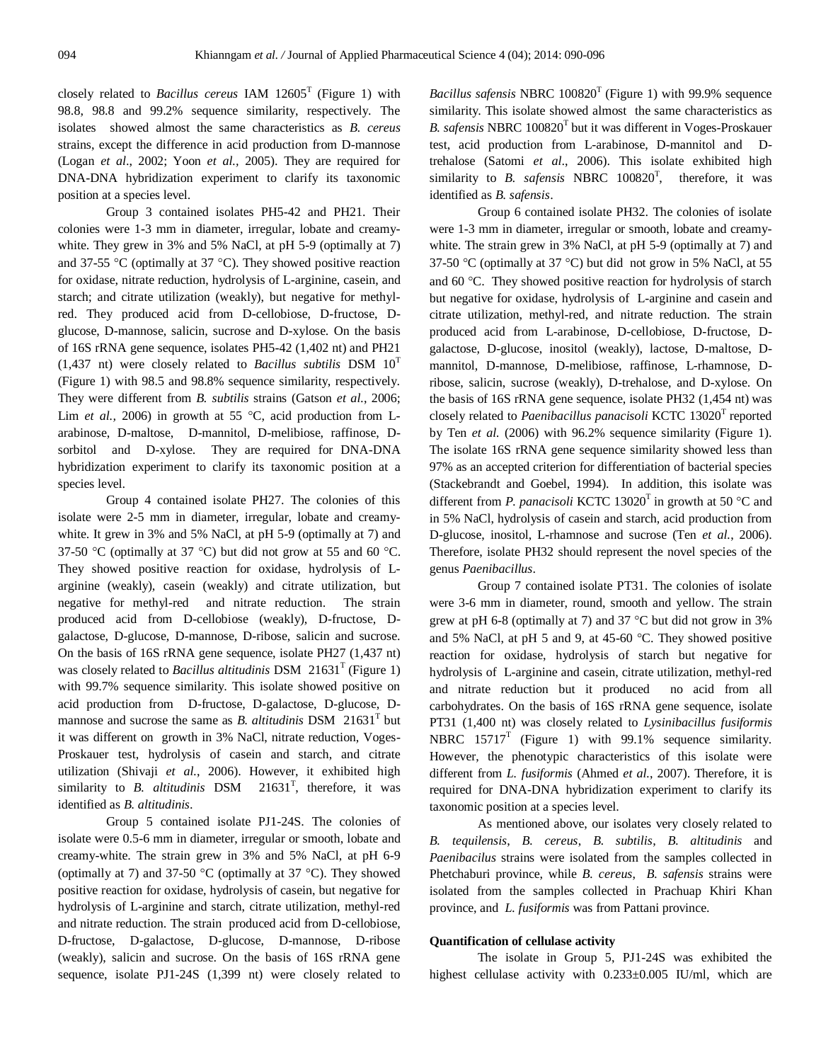closely related to *Bacillus cereus* IAM 12605<sup>T</sup> (Figure 1) with 98.8, 98.8 and 99.2% sequence similarity, respectively. The isolates showed almost the same characteristics as *B. cereus* strains, except the difference in acid production from D-mannose (Logan *et al*., 2002; Yoon *et al.,* 2005). They are required for DNA-DNA hybridization experiment to clarify its taxonomic position at a species level.

Group 3 contained isolates PH5-42 and PH21. Their colonies were 1-3 mm in diameter, irregular, lobate and creamywhite. They grew in 3% and 5% NaCl, at pH 5-9 (optimally at 7) and 37-55 °C (optimally at 37 °C). They showed positive reaction for oxidase, nitrate reduction, hydrolysis of L-arginine, casein, and starch; and citrate utilization (weakly), but negative for methylred. They produced acid from D-cellobiose, D-fructose, Dglucose, D-mannose, salicin, sucrose and D-xylose. On the basis of 16S rRNA gene sequence, isolates PH5-42 (1,402 nt) and PH21  $(1,437 \text{ nt})$  were closely related to *Bacillus subtilis* DSM  $10^{T}$ (Figure 1) with 98.5 and 98.8% sequence similarity, respectively. They were different from *B. subtilis* strains (Gatson *et al.*, 2006; Lim *et al.*, 2006) in growth at 55  $\degree$ C, acid production from Larabinose, D-maltose, D-mannitol, D-melibiose, raffinose, Dsorbitol and D-xylose. They are required for DNA-DNA hybridization experiment to clarify its taxonomic position at a species level.

Group 4 contained isolate PH27. The colonies of this isolate were 2-5 mm in diameter, irregular, lobate and creamywhite. It grew in 3% and 5% NaCl, at pH 5-9 (optimally at 7) and 37-50 °C (optimally at 37 °C) but did not grow at 55 and 60 °C. They showed positive reaction for oxidase, hydrolysis of Larginine (weakly), casein (weakly) and citrate utilization, but negative for methyl-red and nitrate reduction. The strain produced acid from D-cellobiose (weakly), D-fructose, Dgalactose, D-glucose, D-mannose, D-ribose, salicin and sucrose. On the basis of 16S rRNA gene sequence, isolate PH27 (1,437 nt) was closely related to *Bacillus altitudinis* DSM 21631<sup>T</sup> (Figure 1) with 99.7% sequence similarity. This isolate showed positive on acid production from D-fructose, D-galactose, D-glucose, Dmannose and sucrose the same as *B. altitudinis* DSM 21631<sup>T</sup> but it was different on growth in 3% NaCl, nitrate reduction, Voges-Proskauer test, hydrolysis of casein and starch, and citrate utilization (Shivaji *et al.*, 2006). However, it exhibited high similarity to *B. altitudinis* DSM 21631<sup>T</sup>, therefore, it was identified as *B. altitudinis*.

Group 5 contained isolate PJ1-24S. The colonies of isolate were 0.5-6 mm in diameter, irregular or smooth, lobate and creamy-white. The strain grew in 3% and 5% NaCl, at pH 6-9 (optimally at 7) and 37-50  $^{\circ}$ C (optimally at 37  $^{\circ}$ C). They showed positive reaction for oxidase, hydrolysis of casein, but negative for hydrolysis of L-arginine and starch, citrate utilization, methyl-red and nitrate reduction. The strain produced acid from D-cellobiose, D-fructose, D-galactose, D-glucose, D-mannose, D-ribose (weakly), salicin and sucrose. On the basis of 16S rRNA gene sequence, isolate PJ1-24S (1,399 nt) were closely related to

Bacillus safensis NBRC 100820<sup>T</sup> (Figure 1) with 99.9% sequence similarity. This isolate showed almost the same characteristics as B. safensis NBRC 100820<sup>T</sup> but it was different in Voges-Proskauer test, acid production from L-arabinose, D-mannitol and Dtrehalose (Satomi *et al*., 2006). This isolate exhibited high similarity to *B. safensis* NBRC 100820<sup>T</sup>, therefore, it was identified as *B. safensis*.

Group 6 contained isolate PH32. The colonies of isolate were 1-3 mm in diameter, irregular or smooth, lobate and creamywhite. The strain grew in 3% NaCl, at pH 5-9 (optimally at 7) and 37-50 °C (optimally at 37 °C) but did not grow in 5% NaCl, at 55 and 60 °C. They showed positive reaction for hydrolysis of starch but negative for oxidase, hydrolysis of L-arginine and casein and citrate utilization, methyl-red, and nitrate reduction. The strain produced acid from L-arabinose, D-cellobiose, D-fructose, Dgalactose, D-glucose, inositol (weakly), lactose, D-maltose, Dmannitol, D-mannose, D-melibiose, raffinose, L-rhamnose, Dribose, salicin, sucrose (weakly), D-trehalose, and D-xylose. On the basis of 16S rRNA gene sequence, isolate PH32 (1,454 nt) was closely related to *Paenibacillus panacisoli* KCTC 13020<sup>T</sup> reported by Ten *et al.* (2006) with 96.2% sequence similarity (Figure 1). The isolate 16S rRNA gene sequence similarity showed less than 97% as an accepted criterion for differentiation of bacterial species (Stackebrandt and Goebel, 1994). In addition, this isolate was different from *P. panacisoli* KCTC 13020<sup>T</sup> in growth at 50 °C and in 5% NaCl, hydrolysis of casein and starch, acid production from D-glucose, inositol, L-rhamnose and sucrose (Ten *et al.*, 2006). Therefore, isolate PH32 should represent the novel species of the genus *Paenibacillus*.

Group 7 contained isolate PT31. The colonies of isolate were 3-6 mm in diameter, round, smooth and yellow. The strain grew at pH 6-8 (optimally at 7) and 37  $^{\circ}$ C but did not grow in 3% and 5% NaCl, at pH 5 and 9, at 45-60  $^{\circ}$ C. They showed positive reaction for oxidase, hydrolysis of starch but negative for hydrolysis of L-arginine and casein, citrate utilization, methyl-red and nitrate reduction but it produced no acid from all carbohydrates. On the basis of 16S rRNA gene sequence, isolate PT31 (1,400 nt) was closely related to *Lysinibacillus fusiformis* NBRC  $15717<sup>T</sup>$  (Figure 1) with 99.1% sequence similarity. However, the phenotypic characteristics of this isolate were different from *L. fusiformis* (Ahmed *et al.*, 2007). Therefore, it is required for DNA-DNA hybridization experiment to clarify its taxonomic position at a species level.

As mentioned above, our isolates very closely related to *B. tequilensis*, *B. cereus*, *B. subtilis*, *B. altitudinis* and *Paenibacilus* strains were isolated from the samples collected in Phetchaburi province, while *B. cereus*, *B. safensis* strains were isolated from the samples collected in Prachuap Khiri Khan province, and *L. fusiformis* was from Pattani province.

## **Quantification of cellulase activity**

The isolate in Group 5, PJ1-24S was exhibited the highest cellulase activity with 0.233±0.005 IU/ml, which are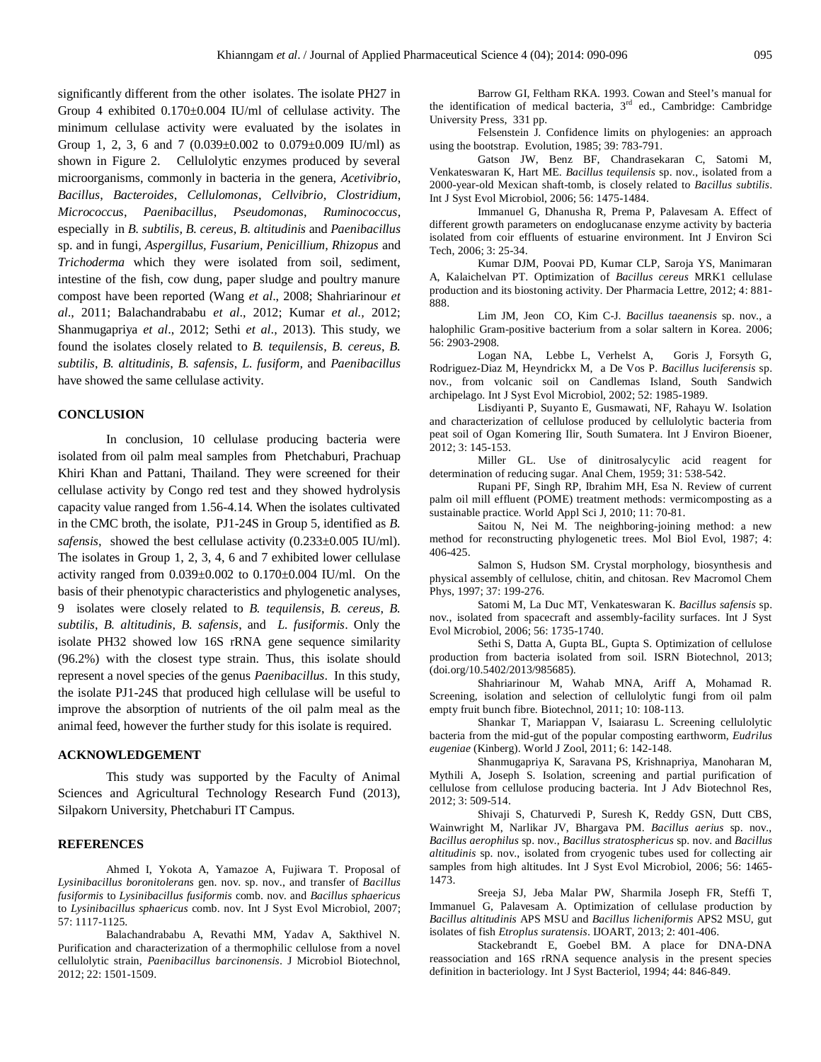significantly different from the other isolates. The isolate PH27 in Group 4 exhibited 0.170±0.004 IU/ml of cellulase activity. The minimum cellulase activity were evaluated by the isolates in Group 1, 2, 3, 6 and 7  $(0.039 \pm 0.002$  to  $0.079 \pm 0.009$  IU/ml) as shown in Figure 2. Cellulolytic enzymes produced by several microorganisms, commonly in bacteria in the genera, *Acetivibrio*, *Bacillus*, *Bacteroides*, *Cellulomonas*, *Cellvibrio*, *Clostridium*, *Micrococcus*, *Paenibacillus*, *Pseudomonas*, *Ruminococcus*, especially in *B. subtilis, B. cereus, B. altitudinis* and *Paenibacillus* sp. and in fungi, *Aspergillus, Fusarium, Penicillium, Rhizopus* and *Trichoderma* which they were isolated from soil, sediment, intestine of the fish, cow dung, paper sludge and poultry manure compost have been reported (Wang *et al*., 2008; Shahriarinour *et al*., 2011; Balachandrababu *et al*., 2012; Kumar *et al.,* 2012; Shanmugapriya *et al*., 2012; Sethi *et al*., 2013). This study, we found the isolates closely related to *B. tequilensis*, *B. cereus*, *B. subtilis*, *B. altitudinis*, *B. safensis*, *L. fusiform,* and *Paenibacillus*  have showed the same cellulase activity.

## **CONCLUSION**

In conclusion, 10 cellulase producing bacteria were isolated from oil palm meal samples from Phetchaburi, Prachuap Khiri Khan and Pattani, Thailand. They were screened for their cellulase activity by Congo red test and they showed hydrolysis capacity value ranged from 1.56-4.14. When the isolates cultivated in the CMC broth, the isolate, PJ1-24S in Group 5, identified as *B. safensis*, showed the best cellulase activity (0.233±0.005 IU/ml). The isolates in Group 1, 2, 3, 4, 6 and 7 exhibited lower cellulase activity ranged from  $0.039 \pm 0.002$  to  $0.170 \pm 0.004$  IU/ml. On the basis of their phenotypic characteristics and phylogenetic analyses, 9 isolates were closely related to *B. tequilensis*, *B. cereus*, *B. subtilis*, *B. altitudinis*, *B. safensis*, and *L. fusiformis*. Only the isolate PH32 showed low 16S rRNA gene sequence similarity (96.2%) with the closest type strain. Thus, this isolate should represent a novel species of the genus *Paenibacillus*. In this study, the isolate PJ1-24S that produced high cellulase will be useful to improve the absorption of nutrients of the oil palm meal as the animal feed, however the further study for this isolate is required.

#### **ACKNOWLEDGEMENT**

This study was supported by the Faculty of Animal Sciences and Agricultural Technology Research Fund (2013), Silpakorn University, Phetchaburi IT Campus.

## **REFERENCES**

Ahmed I, Yokota A, Yamazoe A, Fujiwara T. Proposal of *Lysinibacillus boronitolerans* gen. nov. sp. nov., and transfer of *Bacillus fusiformis* to *Lysinibacillus fusiformis* comb. nov. and *Bacillus sphaericus* to *Lysinibacillus sphaericus* comb. nov. Int J Syst Evol Microbiol, 2007; 57: 1117-1125.

Balachandrababu A, Revathi MM, Yadav A, Sakthivel N. Purification and characterization of a thermophilic cellulose from a novel cellulolytic strain, *Paenibacillus barcinonensis*. J Microbiol Biotechnol, 2012; 22: 1501-1509.

Barrow GI, Feltham RKA. 1993. Cowan and Steel's manual for the identification of medical bacteria,  $3<sup>rd</sup>$  ed., Cambridge: Cambridge University Press, 331 pp.

Felsenstein J. Confidence limits on phylogenies: an approach using the bootstrap. Evolution, 1985; 39: 783-791.

Gatson JW, Benz BF, Chandrasekaran C, Satomi M, Venkateswaran K, Hart ME. *Bacillus tequilensis* sp. nov., isolated from a 2000-year-old Mexican shaft-tomb, is closely related to *Bacillus subtilis*. Int J Syst Evol Microbiol, 2006; 56: 1475-1484.

Immanuel G, Dhanusha R, Prema P, Palavesam A. Effect of different growth parameters on endoglucanase enzyme activity by bacteria isolated from coir effluents of estuarine environment. Int J Environ Sci Tech, 2006; 3: 25-34.

Kumar DJM, Poovai PD, Kumar CLP, Saroja YS, Manimaran A, Kalaichelvan PT. Optimization of *Bacillus cereus* MRK1 cellulase production and its biostoning activity. Der Pharmacia Lettre, 2012; 4: 881- 888.

Lim JM, Jeon CO, Kim C-J. *Bacillus taeanensis* sp. nov., a halophilic Gram-positive bacterium from a solar saltern in Korea. 2006; 56: 2903-2908.

Logan NA, Lebbe L, Verhelst A, Goris J, Forsyth G, Rodriguez-Diaz M, Heyndrickx M, a De Vos P. *Bacillus luciferensis* sp. nov., from volcanic soil on Candlemas Island, South Sandwich archipelago. Int J Syst Evol Microbiol, 2002; 52: 1985-1989.

Lisdiyanti P, Suyanto E, Gusmawati, NF, Rahayu W. Isolation and characterization of cellulose produced by cellulolytic bacteria from peat soil of Ogan Komering Ilir, South Sumatera. Int J Environ Bioener, 2012; 3: 145-153.

Miller GL. Use of dinitrosalycylic acid reagent for determination of reducing sugar. Anal Chem, 1959; 31: 538-542.

Rupani PF, Singh RP, Ibrahim MH, Esa N. Review of current palm oil mill effluent (POME) treatment methods: vermicomposting as a sustainable practice. World Appl Sci J, 2010; 11: 70-81.

Saitou N, Nei M. The neighboring-joining method: a new method for reconstructing phylogenetic trees. Mol Biol Evol, 1987; 4: 406-425.

Salmon S, Hudson SM. Crystal morphology, biosynthesis and physical assembly of cellulose, chitin, and chitosan. Rev Macromol Chem Phys, 1997; 37: 199-276.

Satomi M, La Duc MT, Venkateswaran K. *Bacillus safensis* sp. nov., isolated from spacecraft and assembly-facility surfaces. Int J Syst Evol Microbiol, 2006; 56: 1735-1740.

Sethi S, Datta A, Gupta BL, Gupta S. Optimization of cellulose production from bacteria isolated from soil. ISRN Biotechnol, 2013; (doi.org/10.5402/2013/985685).

Shahriarinour M, Wahab MNA, Ariff A, Mohamad R. Screening, isolation and selection of cellulolytic fungi from oil palm empty fruit bunch fibre. Biotechnol, 2011; 10: 108-113.

Shankar T, Mariappan V, Isaiarasu L. Screening cellulolytic bacteria from the mid-gut of the popular composting earthworm, *Eudrilus eugeniae* (Kinberg). World J Zool, 2011; 6: 142-148.

Shanmugapriya K, Saravana PS, Krishnapriya, Manoharan M, Mythili A, Joseph S. Isolation, screening and partial purification of cellulose from cellulose producing bacteria. Int J Adv Biotechnol Res, 2012; 3: 509-514.

Shivaji S, Chaturvedi P, Suresh K, Reddy GSN, Dutt CBS, Wainwright M, Narlikar JV, Bhargava PM. *Bacillus aerius* sp. nov., *Bacillus aerophilus* sp. nov., *Bacillus stratosphericus* sp. nov. and *Bacillus altitudinis* sp. nov., isolated from cryogenic tubes used for collecting air samples from high altitudes. Int J Syst Evol Microbiol, 2006; 56: 1465- 1473.

Sreeja SJ, Jeba Malar PW, Sharmila Joseph FR, Steffi T, Immanuel G, Palavesam A. Optimization of cellulase production by *Bacillus altitudinis* APS MSU and *Bacillus licheniformis* APS2 MSU, gut isolates of fish *Etroplus suratensis*. IJOART, 2013; 2: 401-406.

Stackebrandt E, Goebel BM. A place for DNA-DNA reassociation and 16S rRNA sequence analysis in the present species definition in bacteriology. Int J Syst Bacteriol, 1994; 44: 846-849.